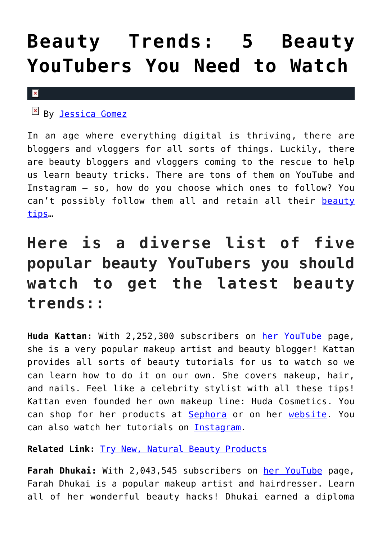## **[Beauty Trends: 5 Beauty](https://cupidspulse.com/123413/beauty-trends-youtuber-bloggers-vloggers-watch/) [YouTubers You Need to Watch](https://cupidspulse.com/123413/beauty-trends-youtuber-bloggers-vloggers-watch/)**

## $\pmb{\times}$

 $\mathbb{E}$  By [Jessica Gomez](http://cupidspulse.com/122405/jessica-gomez/)

In an age where everything digital is thriving, there are bloggers and vloggers for all sorts of things. Luckily, there are beauty bloggers and vloggers coming to the rescue to help us learn beauty tricks. There are tons of them on YouTube and Instagram – so, how do you choose which ones to follow? You can't possibly follow them all and retain all their [beauty](http://cupidspulse.com/beauty/) [tips](http://cupidspulse.com/beauty/)…

## **Here is a diverse list of five popular beauty YouTubers you should watch to get the latest beauty trends::**

**Huda Kattan:** With 2,252,300 subscribers on [her YouTube](https://www.youtube.com/channel/UCRSvEADlY-caz3sfDNwvR1A) page, she is a very popular makeup artist and beauty blogger! Kattan provides all sorts of beauty tutorials for us to watch so we can learn how to do it on our own. She covers makeup, hair, and nails. Feel like a celebrity stylist with all these tips! Kattan even founded her own makeup line: Huda Cosmetics. You can shop for her products at **[Sephora](https://www.sephora.com/huda-beauty)** or on her [website.](http://www.shophudabeauty.com/?v=7516fd43adaa) You can also watch her tutorials on [Instagram.](https://www.instagram.com/hudabeauty/?hl=en)

**Related Link:** [Try New, Natural Beauty Products](http://cupidspulse.com/123348/product-review-new-natural-beauty-products/)

**Farah Dhukai:** With 2,043,545 subscribers on [her YouTube](https://www.youtube.com/farahdhukai) page, Farah Dhukai is a popular makeup artist and hairdresser. Learn all of her wonderful beauty hacks! Dhukai earned a diploma